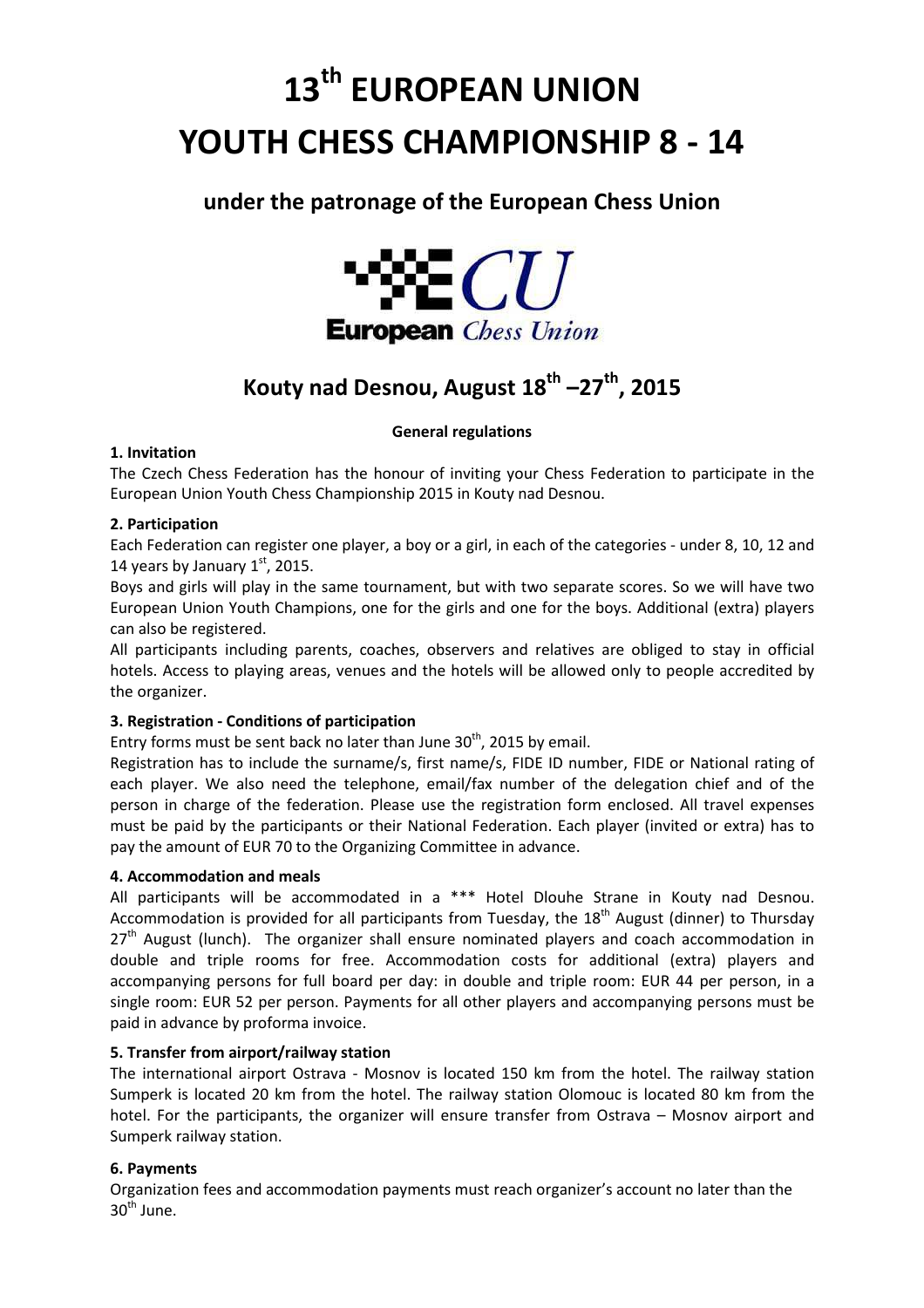# **13th EUROPEAN UNION YOUTH CHESS CHAMPIONSHIP 8 - 14**

# **under the patronage of the European Chess Union**



# **Kouty nad Desnou, August 18th –27th, 2015**

# **General regulations**

# **1. Invitation**

The Czech Chess Federation has the honour of inviting your Chess Federation to participate in the European Union Youth Chess Championship 2015 in Kouty nad Desnou.

# **2. Participation**

Each Federation can register one player, a boy or a girl, in each of the categories - under 8, 10, 12 and 14 years by January  $1<sup>st</sup>$ , 2015.

Boys and girls will play in the same tournament, but with two separate scores. So we will have two European Union Youth Champions, one for the girls and one for the boys. Additional (extra) players can also be registered.

All participants including parents, coaches, observers and relatives are obliged to stay in official hotels. Access to playing areas, venues and the hotels will be allowed only to people accredited by the organizer.

# **3. Registration - Conditions of participation**

Entry forms must be sent back no later than June  $30<sup>th</sup>$ , 2015 by email.

Registration has to include the surname/s, first name/s, FIDE ID number, FIDE or National rating of each player. We also need the telephone, email/fax number of the delegation chief and of the person in charge of the federation. Please use the registration form enclosed. All travel expenses must be paid by the participants or their National Federation. Each player (invited or extra) has to pay the amount of EUR 70 to the Organizing Committee in advance.

# **4. Accommodation and meals**

All participants will be accommodated in a \*\*\* Hotel Dlouhe Strane in Kouty nad Desnou. Accommodation is provided for all participants from Tuesday, the  $18<sup>th</sup>$  August (dinner) to Thursday  $27<sup>th</sup>$  August (lunch). The organizer shall ensure nominated players and coach accommodation in double and triple rooms for free. Accommodation costs for additional (extra) players and accompanying persons for full board per day: in double and triple room: EUR 44 per person, in a single room: EUR 52 per person. Payments for all other players and accompanying persons must be paid in advance by proforma invoice.

# **5. Transfer from airport/railway station**

The international airport Ostrava - Mosnov is located 150 km from the hotel. The railway station Sumperk is located 20 km from the hotel. The railway station Olomouc is located 80 km from the hotel. For the participants, the organizer will ensure transfer from Ostrava – Mosnov airport and Sumperk railway station.

# **6. Payments**

Organization fees and accommodation payments must reach organizer's account no later than the  $30<sup>th</sup>$  June.